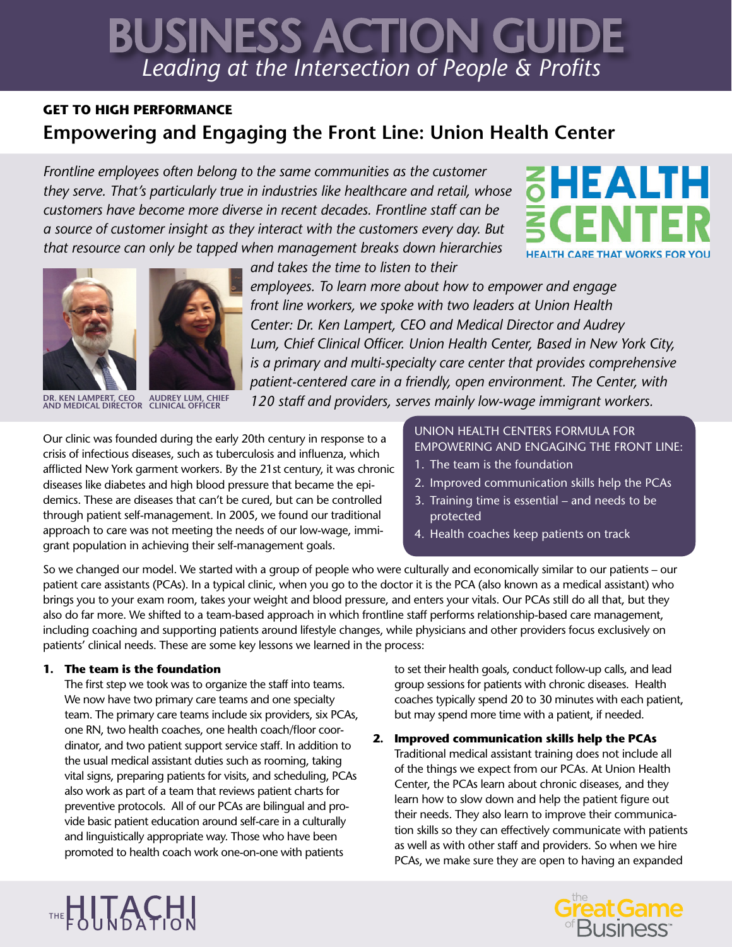# *Leading at the Intersection of People & Profits* BUSINESS ACTION GUIDE

## **GET TO HIGH PERFORMANCE Empowering and Engaging the Front Line: Union Health Center**

*Frontline employees often belong to the same communities as the customer they serve. That's particularly true in industries like healthcare and retail, whose customers have become more diverse in recent decades. Frontline staff can be a source of customer insight as they interact with the customers every day. But that resource can only be tapped when management breaks down hierarchies* 







**DR. KEN LAMPERT, CEO AND MEDICAL DIRECTOR AUDREY LUM, CHIEF CLINICAL OFFICER**

*and takes the time to listen to their* 

*employees. To learn more about how to empower and engage front line workers, we spoke with two leaders at Union Health Center: Dr. Ken Lampert, CEO and Medical Director and Audrey Lum, Chief Clinical Officer. Union Health Center, Based in New York City, is a primary and multi-specialty care center that provides comprehensive patient-centered care in a friendly, open environment. The Center, with 120 staff and providers, serves mainly low-wage immigrant workers.* 

Our clinic was founded during the early 20th century in response to a crisis of infectious diseases, such as tuberculosis and influenza, which afflicted New York garment workers. By the 21st century, it was chronic diseases like diabetes and high blood pressure that became the epidemics. These are diseases that can't be cured, but can be controlled through patient self-management. In 2005, we found our traditional approach to care was not meeting the needs of our low-wage, immigrant population in achieving their self-management goals.

UNION HEALTH CENTERS FORMULA FOR EMPOWERING AND ENGAGING THE FRONT LINE:

- 1. The team is the foundation
- 2. Improved communication skills help the PCAs
- 3. Training time is essential and needs to be protected
- 4. Health coaches keep patients on track

So we changed our model. We started with a group of people who were culturally and economically similar to our patients – our patient care assistants (PCAs). In a typical clinic, when you go to the doctor it is the PCA (also known as a medical assistant) who brings you to your exam room, takes your weight and blood pressure, and enters your vitals. Our PCAs still do all that, but they also do far more. We shifted to a team-based approach in which frontline staff performs relationship-based care management, including coaching and supporting patients around lifestyle changes, while physicians and other providers focus exclusively on patients' clinical needs. These are some key lessons we learned in the process:

### **1. The team is the foundation**

THE HITACHI

The first step we took was to organize the staff into teams. We now have two primary care teams and one specialty team. The primary care teams include six providers, six PCAs, one RN, two health coaches, one health coach/floor coordinator, and two patient support service staff. In addition to the usual medical assistant duties such as rooming, taking vital signs, preparing patients for visits, and scheduling, PCAs also work as part of a team that reviews patient charts for preventive protocols. All of our PCAs are bilingual and provide basic patient education around self-care in a culturally and linguistically appropriate way. Those who have been promoted to health coach work one-on-one with patients

to set their health goals, conduct follow-up calls, and lead group sessions for patients with chronic diseases. Health coaches typically spend 20 to 30 minutes with each patient, but may spend more time with a patient, if needed.

**2. Improved communication skills help the PCAs** Traditional medical assistant training does not include all of the things we expect from our PCAs. At Union Health Center, the PCAs learn about chronic diseases, and they learn how to slow down and help the patient figure out their needs. They also learn to improve their communication skills so they can effectively communicate with patients as well as with other staff and providers. So when we hire PCAs, we make sure they are open to having an expanded